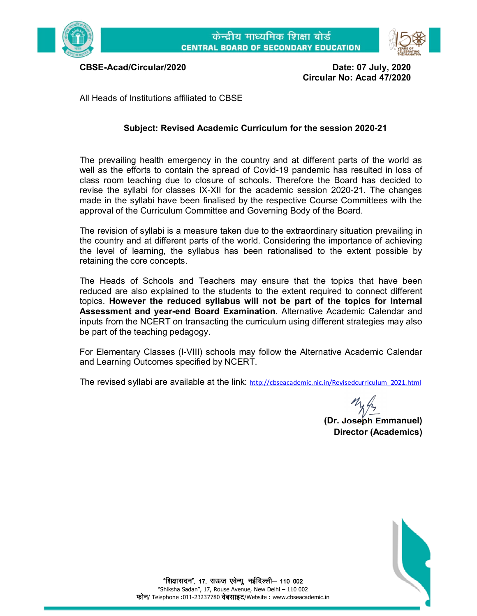



**CBSE-Acad/Circular/2020 Date: 07 July, 2020 Circular No: Acad 47/2020**

All Heads of Institutions affiliated to CBSE

## **Subject: Revised Academic Curriculum for the session 2020-21**

The prevailing health emergency in the country and at different parts of the world as well as the efforts to contain the spread of Covid-19 pandemic has resulted in loss of class room teaching due to closure of schools. Therefore the Board has decided to revise the syllabi for classes IX-XII for the academic session 2020-21. The changes made in the syllabi have been finalised by the respective Course Committees with the approval of the Curriculum Committee and Governing Body of the Board.

The revision of syllabi is a measure taken due to the extraordinary situation prevailing in the country and at different parts of the world. Considering the importance of achieving the level of learning, the syllabus has been rationalised to the extent possible by retaining the core concepts.

The Heads of Schools and Teachers may ensure that the topics that have been reduced are also explained to the students to the extent required to connect different topics. **However the reduced syllabus will not be part of the topics for Internal Assessment and year-end Board Examination**. Alternative Academic Calendar and inputs from the NCERT on transacting the curriculum using different strategies may also be part of the teaching pedagogy.

For Elementary Classes (I-VIII) schools may follow the Alternative Academic Calendar and Learning Outcomes specified by NCERT.

The revised syllabi are available at the link: [http://cbseacademic.nic.in/Revisedcurriculum\\_2021.html](http://cbseacademic.nic.in/Revisedcurriculum_2021.html)

**(Dr. Joseph Emmanuel) Director (Academics)**